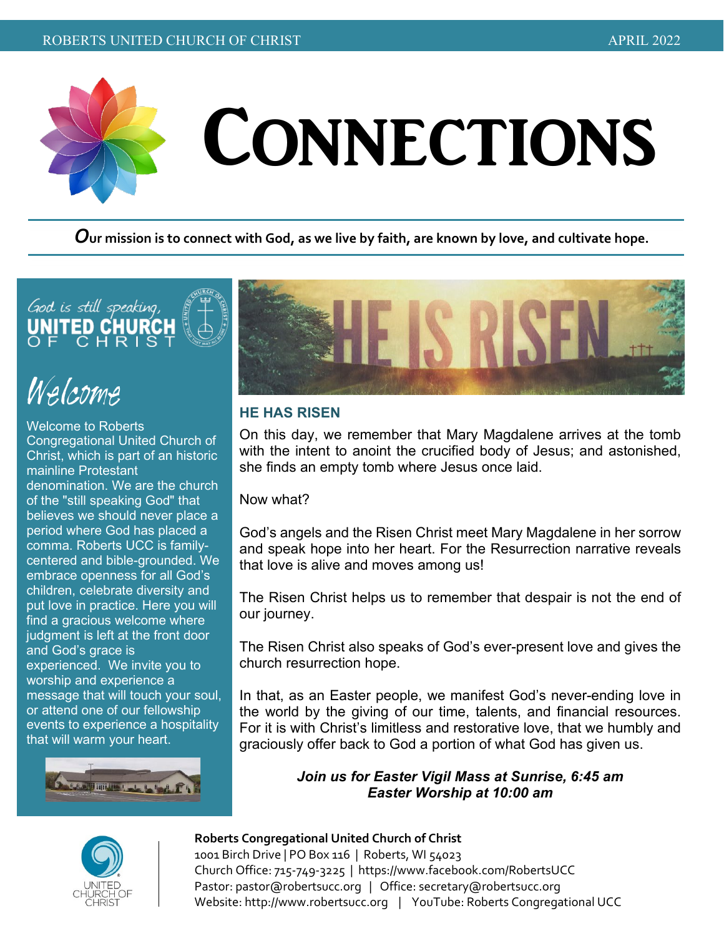

*O***ur mission is to connect with God, as we live by faith, are known by love, and cultivate hope.**



# Welcome

Welcome to Roberts Congregational United Church of Christ, which is part of an historic mainline Protestant denomination. We are the church of the "still speaking God" that believes we should never place a period where God has placed a comma. Roberts UCC is familycentered and bible-grounded. We embrace openness for all God's children, celebrate diversity and put love in practice. Here you will find a gracious welcome where judgment is left at the front door and God's grace is experienced. We invite you to worship and experience a message that will touch your soul, or attend one of our fellowship events to experience a hospitality that will warm your heart.





### **HE HAS RISEN**

On this day, we remember that Mary Magdalene arrives at the tomb with the intent to anoint the crucified body of Jesus; and astonished, she finds an empty tomb where Jesus once laid.

### Now what?

God's angels and the Risen Christ meet Mary Magdalene in her sorrow and speak hope into her heart. For the Resurrection narrative reveals that love is alive and moves among us!

The Risen Christ helps us to remember that despair is not the end of our journey.

The Risen Christ also speaks of God's ever-present love and gives the church resurrection hope.

In that, as an Easter people, we manifest God's never-ending love in the world by the giving of our time, talents, and financial resources. For it is with Christ's limitless and restorative love, that we humbly and graciously offer back to God a portion of what God has given us.

### *Join us for Easter Vigil Mass at Sunrise, 6:45 am Easter Worship at 10:00 am*



### **Roberts Congregational United Church of Christ**

1001 Birch Drive | PO Box 116 | Roberts, WI 54023 Church Office: 715-749-3225 |<https://www.facebook.com/RobertsUCC> Pastor: [pastor@robertsucc.org](mailto:pastor@robertsucc.org) | Office[: secretary@robertsucc.org](mailto:secretary@robertsucc.org)  Website: [http://www.robertsucc.org](http://www.robertsucc.org/) | YouTube: Roberts Congregational UCC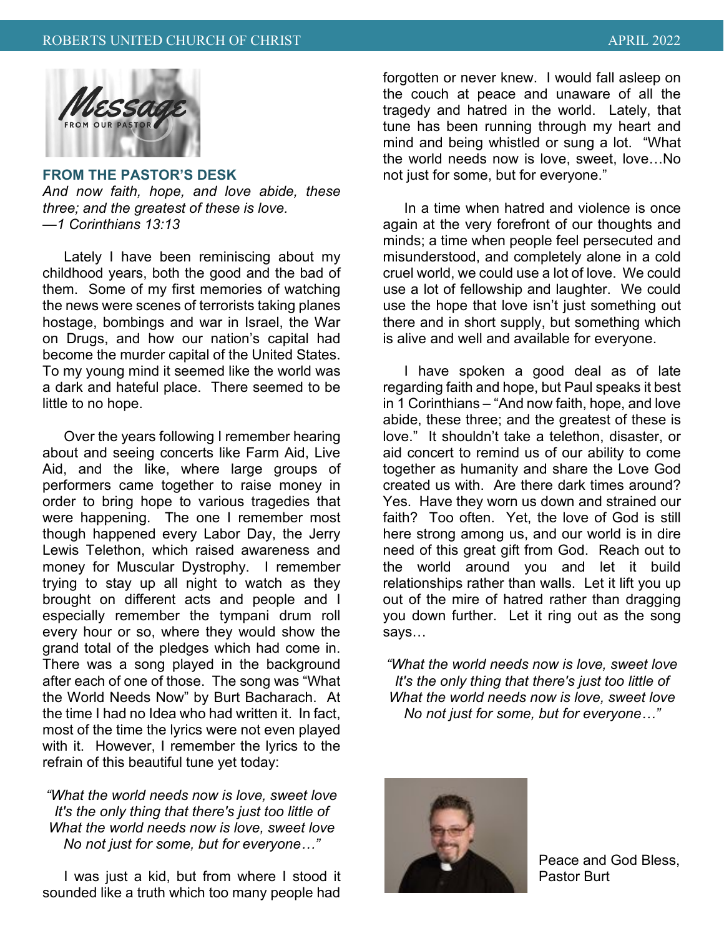

### **FROM THE PASTOR'S DESK** *And now faith, hope, and love abide, these three; and the greatest of these is love.*

*—1 Corinthians 13:13*

Lately I have been reminiscing about my childhood years, both the good and the bad of them. Some of my first memories of watching the news were scenes of terrorists taking planes hostage, bombings and war in Israel, the War on Drugs, and how our nation's capital had become the murder capital of the United States. To my young mind it seemed like the world was a dark and hateful place. There seemed to be little to no hope.

Over the years following I remember hearing about and seeing concerts like Farm Aid, Live Aid, and the like, where large groups of performers came together to raise money in order to bring hope to various tragedies that were happening. The one I remember most though happened every Labor Day, the Jerry Lewis Telethon, which raised awareness and money for Muscular Dystrophy. I remember trying to stay up all night to watch as they brought on different acts and people and I especially remember the tympani drum roll every hour or so, where they would show the grand total of the pledges which had come in. There was a song played in the background after each of one of those. The song was "What the World Needs Now" by Burt Bacharach. At the time I had no Idea who had written it. In fact, most of the time the lyrics were not even played with it. However, I remember the lyrics to the refrain of this beautiful tune yet today:

*"What the world needs now is love, sweet love It's the only thing that there's just too little of What the world needs now is love, sweet love No not just for some, but for everyone…"*

I was just a kid, but from where I stood it sounded like a truth which too many people had

forgotten or never knew. I would fall asleep on the couch at peace and unaware of all the tragedy and hatred in the world. Lately, that tune has been running through my heart and mind and being whistled or sung a lot. "What the world needs now is love, sweet, love…No not just for some, but for everyone."

In a time when hatred and violence is once again at the very forefront of our thoughts and minds; a time when people feel persecuted and misunderstood, and completely alone in a cold cruel world, we could use a lot of love. We could use a lot of fellowship and laughter. We could use the hope that love isn't just something out there and in short supply, but something which is alive and well and available for everyone.

I have spoken a good deal as of late regarding faith and hope, but Paul speaks it best in 1 Corinthians – "And now faith, hope, and love abide, these three; and the greatest of these is love." It shouldn't take a telethon, disaster, or aid concert to remind us of our ability to come together as humanity and share the Love God created us with. Are there dark times around? Yes. Have they worn us down and strained our faith? Too often. Yet, the love of God is still here strong among us, and our world is in dire need of this great gift from God. Reach out to the world around you and let it build relationships rather than walls. Let it lift you up out of the mire of hatred rather than dragging you down further. Let it ring out as the song says…

*"What the world needs now is love, sweet love It's the only thing that there's just too little of What the world needs now is love, sweet love No not just for some, but for everyone…"*



Peace and God Bless, Pastor Burt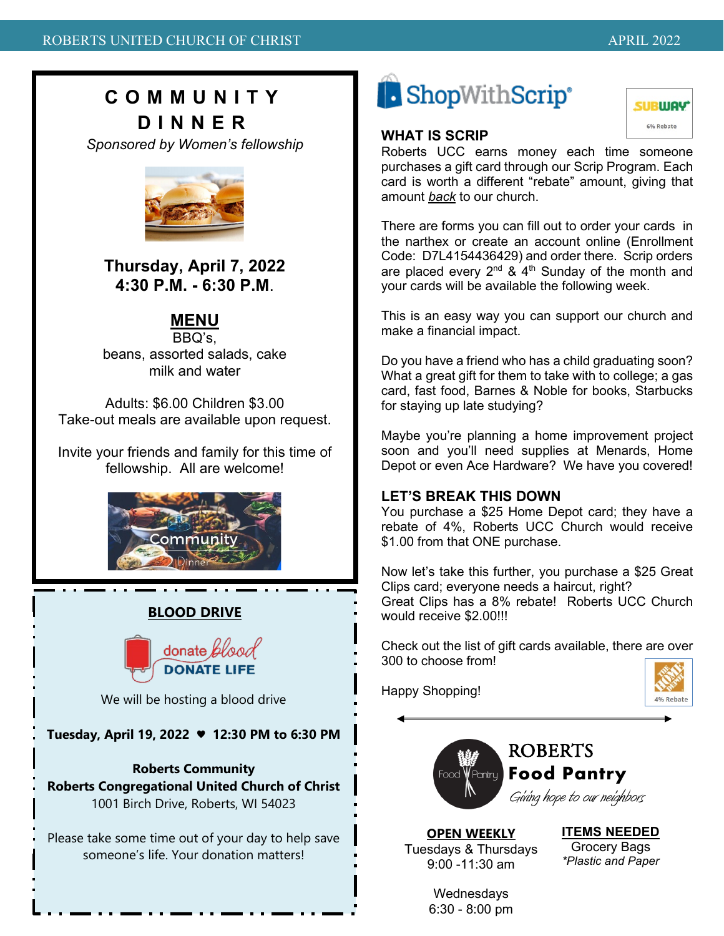# **COMMUNITY DINNER**

*Sponsored by Women's fellowship*



## **Thursday, April 7, 2022 4:30 P.M. - 6:30 P.M**.

# **MENU**

BBQ's, beans, assorted salads, cake milk and water

Adults: \$6.00 Children \$3.00 Take-out meals are available upon request.

Invite your friends and family for this time of fellowship. All are welcome!



### **BLOOD DRIVE**



Roberts United Christ earnings money with the Christ earning of Christ earning money with the Christ earning money with the Christ earning of Christ earning money with the Christ earning money with the Christ earning money we will be hosting a blood drive

**Tuesday, April 19, 2022 ♦ 12:30 PM to 6:30 PM** 

 $\frac{1001 \text{ Biro}}{1001 \text{ Biro}}$  Drive Poberts; WI 54023 they all add up and make a difference. 1001 Birch Drive, Roberts, WI 54023 **Roberts Community Roberts Congregational United Church of Christ**

Please take some time out of your day to help save someone's life. Your donation matters!





### **WHAT IS SCRIP**

Roberts UCC earns money each time someone purchases a gift card through our Scrip Program. Each card is worth a different "rebate" amount, giving that amount *back* to our church.

There are forms you can fill out to order your cards in the narthex or create an account online (Enrollment Code: D7L4154436429) and order there. Scrip orders are placed every  $2^{nd}$  &  $4^{th}$  Sunday of the month and your cards will be available the following week.

This is an easy way you can support our church and make a financial impact.

Do you have a friend who has a child graduating soon? What a great gift for them to take with to college; a gas card, fast food, Barnes & Noble for books, Starbucks for staying up late studying?

Maybe you're planning a home improvement project soon and you'll need supplies at Menards, Home Depot or even Ace Hardware? We have you covered!

### **LET'S BREAK THIS DOWN**

You purchase a \$25 Home Depot card; they have a rebate of 4%, Roberts UCC Church would receive \$1.00 from that ONE purchase.

Now let's take this further, you purchase a \$25 Great Clips card; everyone needs a haircut, right? Great Clips has a 8% rebate! Roberts UCC Church would receive \$2.00!!!

Check out the list of gift cards available, there are over 300 to choose from!

Happy Shopping!





**OPEN WEEKLY** Tuesdays & Thursdays 9:00 -11:30 am

**ITEMS NEEDED** Grocery Bags *\*Plastic and Paper*

Wednesdays 6:30 - 8:00 pm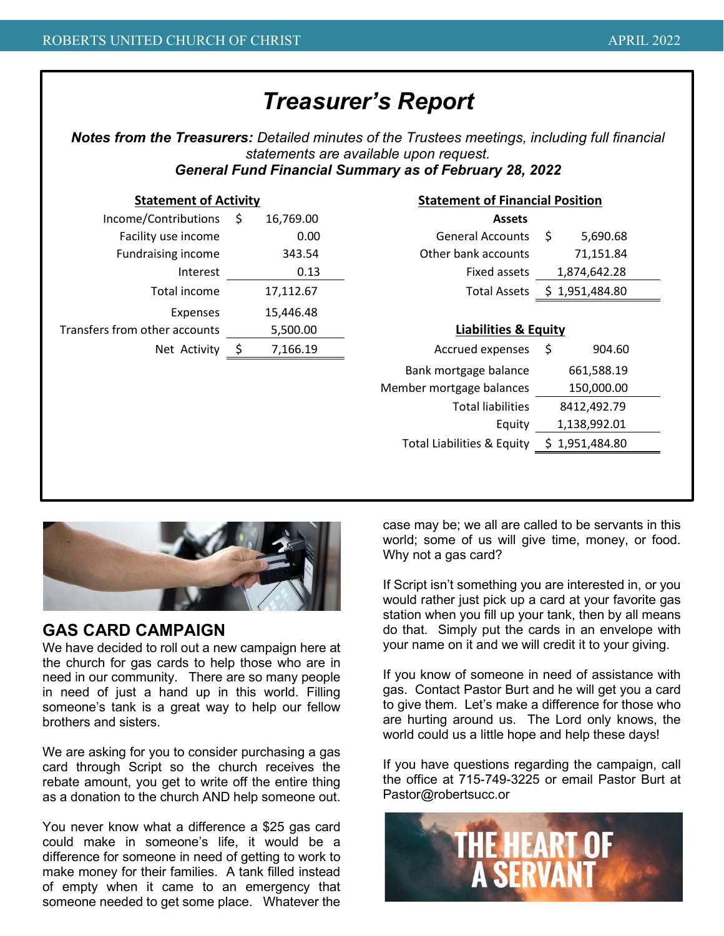# *Treasurer's Report*

*Notes from the Treasurers: Detailed minutes of the Trustees meetings, including full financial statements are available upon request. General Fund Financial Summary as of February 28, 2022*

| <b>Statement of Activity</b>  |   |           | <b>Statement of Financial Position</b> |                                 |                |  |
|-------------------------------|---|-----------|----------------------------------------|---------------------------------|----------------|--|
| Income/Contributions          | S | 16,769.00 | <b>Assets</b>                          |                                 |                |  |
| Facility use income           |   | 0.00      | <b>General Accounts</b>                | \$                              | 5,690.68       |  |
| Fundraising income            |   | 343.54    | Other bank accounts                    |                                 | 71,151.84      |  |
| Interest                      |   | 0.13      | Fixed assets                           |                                 | 1,874,642.28   |  |
| Total income                  |   | 17,112.67 | <b>Total Assets</b>                    |                                 | \$1,951,484.80 |  |
| Expenses                      |   | 15,446.48 |                                        |                                 |                |  |
| Transfers from other accounts |   | 5,500.00  |                                        | <b>Liabilities &amp; Equity</b> |                |  |
| Net Activity                  |   | 7,166.19  | Accrued expenses                       | \$                              | 904.60         |  |
|                               |   |           | Bank mortgage balance                  |                                 | 661,588.19     |  |
|                               |   |           | Member mortgage balances               |                                 | 150,000.00     |  |
|                               |   |           | <b>Total liabilities</b>               |                                 | 8412,492.79    |  |
|                               |   |           | Equity                                 |                                 | 1,138,992.01   |  |
|                               |   |           | <b>Total Liabilities &amp; Equity</b>  |                                 | 1,951,484.80   |  |
|                               |   |           |                                        |                                 |                |  |



### **GAS CARD CAMPAIGN**

We have decided to roll out a new campaign here at the church for gas cards to help those who are in need in our community. There are so many people in need of just a hand up in this world. Filling someone's tank is a great way to help our fellow brothers and sisters.

We are asking for you to consider purchasing a gas card through Script so the church receives the rebate amount, you get to write off the entire thing as a donation to the church AND help someone out.

You never know what a difference a \$25 gas card could make in someone's life, it would be a difference for someone in need of getting to work to make money for their families. A tank filled instead of empty when it came to an emergency that someone needed to get some place. Whatever the

case may be; we all are called to be servants in this world; some of us will give time, money, or food. Why not a gas card?

If Script isn't something you are interested in, or you would rather just pick up a card at your favorite gas station when you fill up your tank, then by all means do that. Simply put the cards in an envelope with your name on it and we will credit it to your giving.

If you know of someone in need of assistance with gas. Contact Pastor Burt and he will get you a card to give them. Let's make a difference for those who are hurting around us. The Lord only knows, the world could us a little hope and help these days!

If you have questions regarding the campaign, call the office at 715-749-3225 or email Pastor Burt at Pastor@robertsucc.or

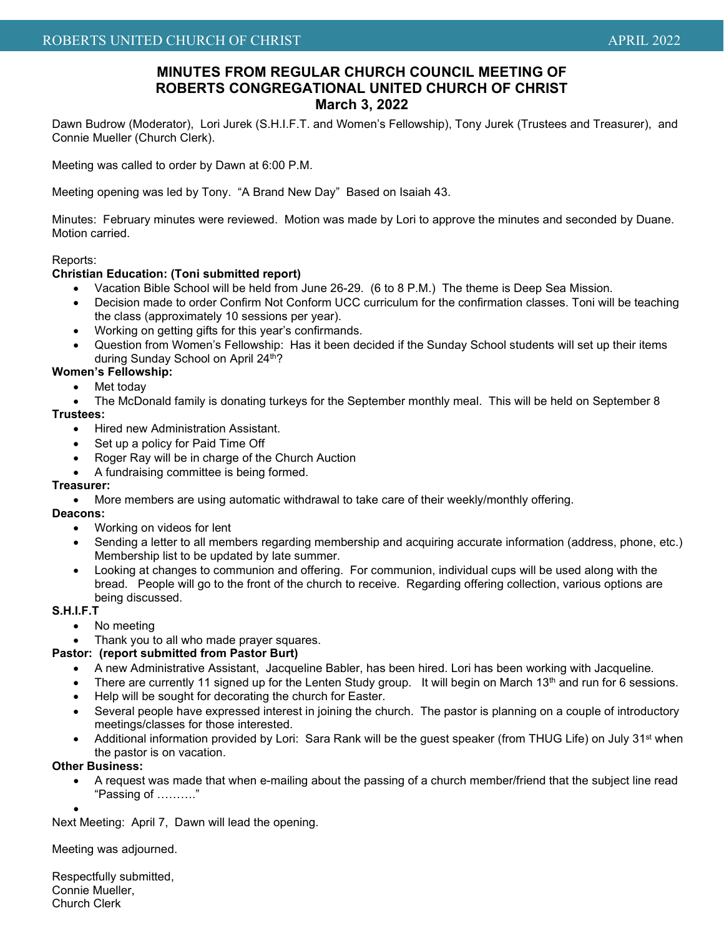### **MINUTES FROM REGULAR CHURCH COUNCIL MEETING OF ROBERTS CONGREGATIONAL UNITED CHURCH OF CHRIST March 3, 2022**

Dawn Budrow (Moderator), Lori Jurek (S.H.I.F.T. and Women's Fellowship), Tony Jurek (Trustees and Treasurer), and Connie Mueller (Church Clerk).

Meeting was called to order by Dawn at 6:00 P.M.

Meeting opening was led by Tony. "A Brand New Day" Based on Isaiah 43.

Minutes: February minutes were reviewed. Motion was made by Lori to approve the minutes and seconded by Duane. Motion carried.

### Reports:

### **Christian Education: (Toni submitted report)**

- Vacation Bible School will be held from June 26-29. (6 to 8 P.M.) The theme is Deep Sea Mission.
- Decision made to order Confirm Not Conform UCC curriculum for the confirmation classes. Toni will be teaching the class (approximately 10 sessions per year).
- Working on getting gifts for this year's confirmands.
- Question from Women's Fellowship: Has it been decided if the Sunday School students will set up their items during Sunday School on April 24th?

### **Women's Fellowship:**

- Met todav
- The McDonald family is donating turkeys for the September monthly meal. This will be held on September 8 **Trustees:**
	- Hired new Administration Assistant.
	- Set up a policy for Paid Time Off
	- Roger Ray will be in charge of the Church Auction
	- A fundraising committee is being formed.

### **Treasurer:**

• More members are using automatic withdrawal to take care of their weekly/monthly offering.

### **Deacons:**

- Working on videos for lent
- Sending a letter to all members regarding membership and acquiring accurate information (address, phone, etc.) Membership list to be updated by late summer.
- Looking at changes to communion and offering. For communion, individual cups will be used along with the bread. People will go to the front of the church to receive. Regarding offering collection, various options are being discussed.

### **S.H.I.F.T**

- No meeting
- Thank you to all who made prayer squares.

### **Pastor: (report submitted from Pastor Burt)**

- A new Administrative Assistant, Jacqueline Babler, has been hired. Lori has been working with Jacqueline.
- There are currently 11 signed up for the Lenten Study group. It will begin on March 13<sup>th</sup> and run for 6 sessions.
- Help will be sought for decorating the church for Easter.
- Several people have expressed interest in joining the church. The pastor is planning on a couple of introductory meetings/classes for those interested.
- Additional information provided by Lori: Sara Rank will be the quest speaker (from THUG Life) on July 31<sup>st</sup> when the pastor is on vacation.

### **Other Business:**

• A request was made that when e-mailing about the passing of a church member/friend that the subject line read "Passing of ………."

• Next Meeting: April 7, Dawn will lead the opening.

Meeting was adjourned.

Respectfully submitted, Connie Mueller, Church Clerk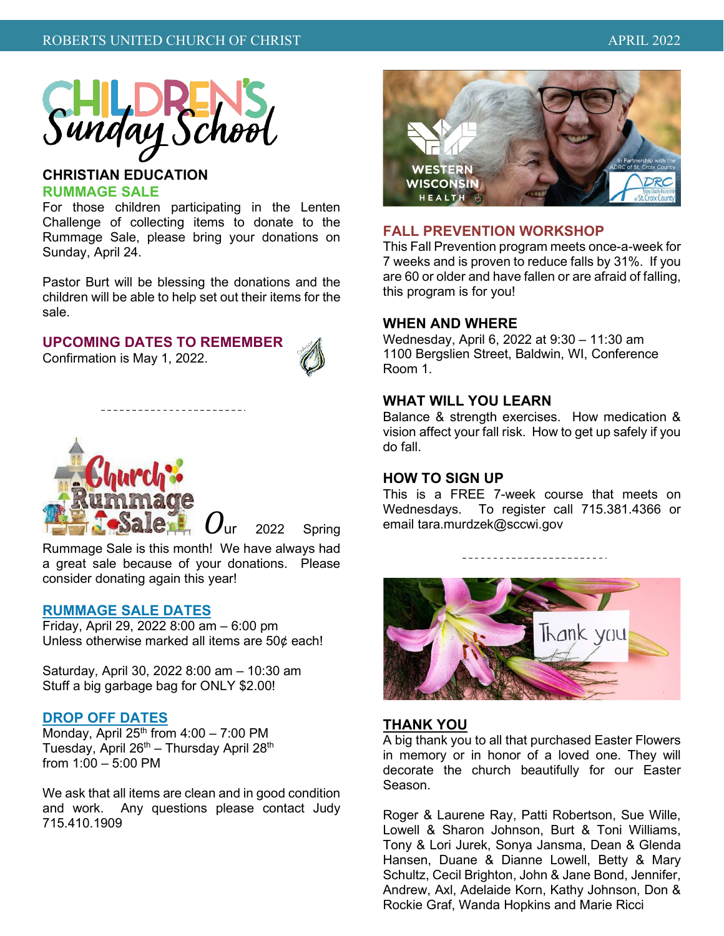

### **CHRISTIAN EDUCATION RUMMAGE SALE**

For those children participating in the Lenten Challenge of collecting items to donate to the Rummage Sale, please bring your donations on Sunday, April 24.

Pastor Burt will be blessing the donations and the children will be able to help set out their items for the sale.

------------------

### **UPCOMING DATES TO REMEMBER**

Confirmation is May 1, 2022.





 $O$ ur 2022 Spring

Rummage Sale is this month! We have always had a great sale because of your donations. Please consider donating again this year!

### **RUMMAGE SALE DATES**

Friday, April 29, 2022 8:00 am – 6:00 pm Unless otherwise marked all items are 50¢ each!

Saturday, April 30, 2022 8:00 am – 10:30 am Stuff a big garbage bag for ONLY \$2.00!

### **DROP OFF DATES**

Monday, April  $25<sup>th</sup>$  from  $4:00 - 7:00$  PM Tuesday, April  $26^{th}$  – Thursday April  $28^{th}$ from  $1:00 - 5:00$  PM

We ask that all items are clean and in good condition and work. Any questions please contact Judy 715.410.1909



### **FALL PREVENTION WORKSHOP**

This Fall Prevention program meets once-a-week for 7 weeks and is proven to reduce falls by 31%. If you are 60 or older and have fallen or are afraid of falling, this program is for you!

### **WHEN AND WHERE**

Wednesday, April 6, 2022 at 9:30 – 11:30 am 1100 Bergslien Street, Baldwin, WI, Conference Room 1.

### **WHAT WILL YOU LEARN**

Balance & strength exercises. How medication & vision affect your fall risk. How to get up safely if you do fall.

### **HOW TO SIGN UP**

This is a FREE 7-week course that meets on Wednesdays. To register call 715.381.4366 or email [tara.murdzek@sccwi.gov](mailto:tara.murdzek@sccwi.gov)

\_\_\_\_\_\_\_\_\_\_\_\_\_\_\_\_\_\_\_\_\_



### **THANK YOU**

A big thank you to all that purchased Easter Flowers in memory or in honor of a loved one. They will decorate the church beautifully for our Easter Season.

Roger & Laurene Ray, Patti Robertson, Sue Wille, Lowell & Sharon Johnson, Burt & Toni Williams, Tony & Lori Jurek, Sonya Jansma, Dean & Glenda Hansen, Duane & Dianne Lowell, Betty & Mary Schultz, Cecil Brighton, John & Jane Bond, Jennifer, Andrew, Axl, Adelaide Korn, Kathy Johnson, Don & Rockie Graf, Wanda Hopkins and Marie Ricci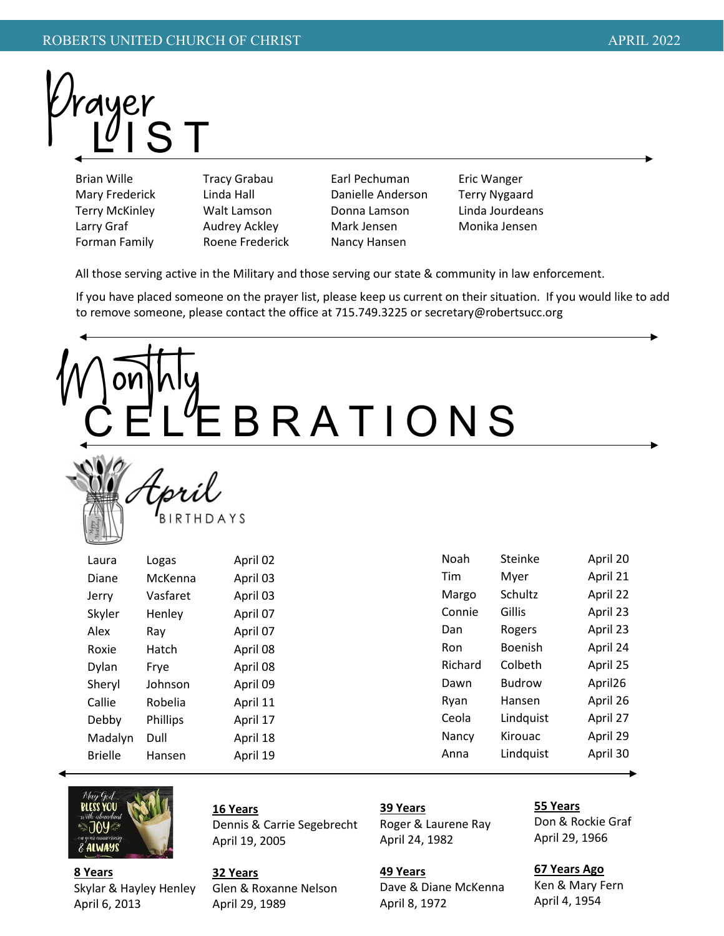Drayer<br>Lels T

Forman Family Roene Frederick Nancy Hansen

Brian Wille Tracy Grabau Earl Pechuman Eric Wanger Mary Frederick Linda Hall Danielle Anderson Terry Nygaard Terry McKinley Walt Lamson Donna Lamson Linda Jourdeans Larry Graf Audrey Ackley Mark Jensen Monika Jensen

All those serving active in the Military and those serving our state & community in law enforcement.

If you have placed someone on the prayer list, please keep us current on their situation. If you would like to add to remove someone, please contact the office at 715.749.3225 or secretary@robertsucc.org

# BRATIONS



| Laura   | Logas    | April 02 |
|---------|----------|----------|
| Diane   | McKenna  | April 03 |
| Jerry   | Vasfaret | April 03 |
| Skyler  | Henley   | April 07 |
| Alex    | Ray      | April 07 |
| Roxie   | Hatch    | April 08 |
| Dylan   | Frye     | April 08 |
| Sheryl  | Johnson  | April 09 |
| Callie  | Robelia  | April 11 |
| Debby   | Phillips | April 17 |
| Madalyn | Dull     | April 18 |
| Brielle | Hansen   | April 19 |
|         |          |          |

| Noah    | Steinke   | April 20 |
|---------|-----------|----------|
| Tim     | Myer      | April 21 |
| Margo   | Schultz   | April 22 |
| Connie  | Gillis    | April 23 |
| Dan     | Rogers    | April 23 |
| Ron     | Boenish   | April 24 |
| Richard | Colbeth   | April 25 |
| Dawn    | Budrow    | April26  |
| Ryan    | Hansen    | April 26 |
| Ceola   | Lindquist | April 27 |
| Nancy   | Kirouac   | April 29 |
| Anna    | Lindquist | April 30 |
|         |           |          |



**8 Years** Skylar & Hayley Henley April 6, 2013

**16 Years** Dennis & Carrie Segebrecht April 19, 2005

**32 Years**  Glen & Roxanne Nelson April 29, 1989

**39 Years**

Roger & Laurene Ray April 24, 1982

**49 Years** Dave & Diane McKenna April 8, 1972

### **55 Years**

Don & Rockie Graf April 29, 1966

**67 Years Ago** Ken & Mary Fern

April 4, 1954